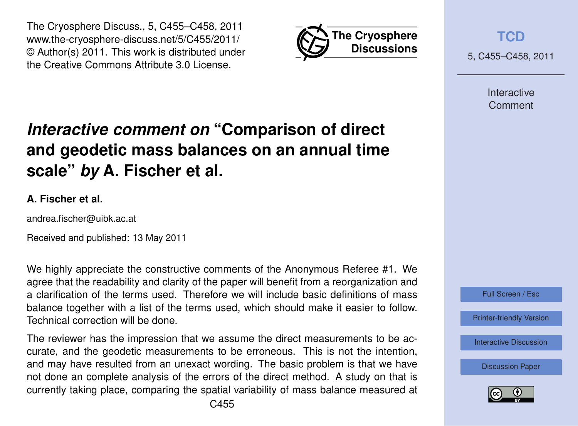



**[TCD](http://www.the-cryosphere-discuss.net)**

5, C455–C458, 2011

Interactive Comment

# *Interactive comment on* **"Comparison of direct and geodetic mass balances on an annual time scale"** *by* **A. Fischer et al.**

### **A. Fischer et al.**

andrea.fischer@uibk.ac.at

Received and published: 13 May 2011

We highly appreciate the constructive comments of the Anonymous Referee #1. We agree that the readability and clarity of the paper will benefit from a reorganization and a clarification of the terms used. Therefore we will include basic definitions of mass balance together with a list of the terms used, which should make it easier to follow. Technical correction will be done.

The reviewer has the impression that we assume the direct measurements to be accurate, and the geodetic measurements to be erroneous. This is not the intention, and may have resulted from an unexact wording. The basic problem is that we have not done an complete analysis of the errors of the direct method. A study on that is currently taking place, comparing the spatial variability of mass balance measured at



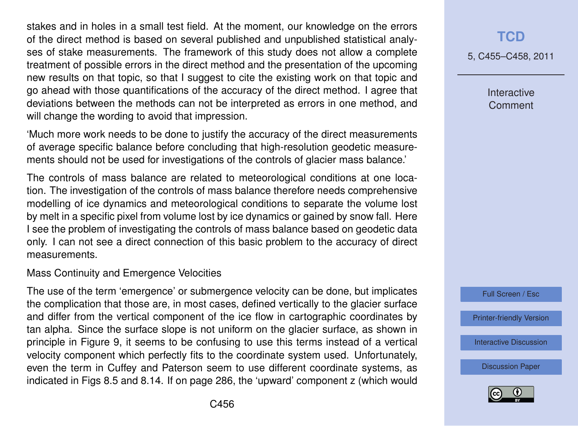stakes and in holes in a small test field. At the moment, our knowledge on the errors of the direct method is based on several published and unpublished statistical analyses of stake measurements. The framework of this study does not allow a complete treatment of possible errors in the direct method and the presentation of the upcoming new results on that topic, so that I suggest to cite the existing work on that topic and go ahead with those quantifications of the accuracy of the direct method. I agree that deviations between the methods can not be interpreted as errors in one method, and will change the wording to avoid that impression.

'Much more work needs to be done to justify the accuracy of the direct measurements of average specific balance before concluding that high-resolution geodetic measurements should not be used for investigations of the controls of glacier mass balance.'

The controls of mass balance are related to meteorological conditions at one location. The investigation of the controls of mass balance therefore needs comprehensive modelling of ice dynamics and meteorological conditions to separate the volume lost by melt in a specific pixel from volume lost by ice dynamics or gained by snow fall. Here I see the problem of investigating the controls of mass balance based on geodetic data only. I can not see a direct connection of this basic problem to the accuracy of direct measurements.

#### Mass Continuity and Emergence Velocities

The use of the term 'emergence' or submergence velocity can be done, but implicates the complication that those are, in most cases, defined vertically to the glacier surface and differ from the vertical component of the ice flow in cartographic coordinates by tan alpha. Since the surface slope is not uniform on the glacier surface, as shown in principle in Figure 9, it seems to be confusing to use this terms instead of a vertical velocity component which perfectly fits to the coordinate system used. Unfortunately, even the term in Cuffey and Paterson seem to use different coordinate systems, as indicated in Figs 8.5 and 8.14. If on page 286, the 'upward' component z (which would

## **[TCD](http://www.the-cryosphere-discuss.net)**

5, C455–C458, 2011

Interactive **Comment** 



[Printer-friendly Version](http://www.the-cryosphere-discuss.net/5/C455/2011/tcd-5-C455-2011-print.pdf)

[Interactive Discussion](http://www.the-cryosphere-discuss.net/5/565/2011/tcd-5-565-2011-discussion.html)

[Discussion Paper](http://www.the-cryosphere-discuss.net/5/565/2011/tcd-5-565-2011.pdf)

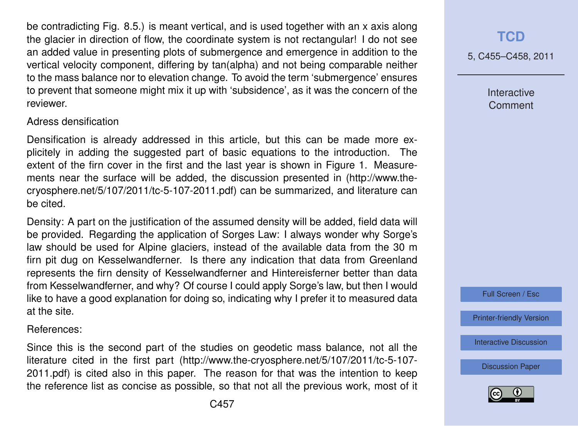be contradicting Fig. 8.5.) is meant vertical, and is used together with an x axis along the glacier in direction of flow, the coordinate system is not rectangular! I do not see an added value in presenting plots of submergence and emergence in addition to the vertical velocity component, differing by tan(alpha) and not being comparable neither to the mass balance nor to elevation change. To avoid the term 'submergence' ensures to prevent that someone might mix it up with 'subsidence', as it was the concern of the reviewer.

#### Adress densification

Densification is already addressed in this article, but this can be made more explicitely in adding the suggested part of basic equations to the introduction. The extent of the firn cover in the first and the last year is shown in Figure 1. Measurements near the surface will be added, the discussion presented in (http://www.thecryosphere.net/5/107/2011/tc-5-107-2011.pdf) can be summarized, and literature can be cited.

Density: A part on the justification of the assumed density will be added, field data will be provided. Regarding the application of Sorges Law: I always wonder why Sorge's law should be used for Alpine glaciers, instead of the available data from the 30 m firn pit dug on Kesselwandferner. Is there any indication that data from Greenland represents the firn density of Kesselwandferner and Hintereisferner better than data from Kesselwandferner, and why? Of course I could apply Sorge's law, but then I would like to have a good explanation for doing so, indicating why I prefer it to measured data at the site.

References:

Since this is the second part of the studies on geodetic mass balance, not all the literature cited in the first part (http://www.the-cryosphere.net/5/107/2011/tc-5-107- 2011.pdf) is cited also in this paper. The reason for that was the intention to keep the reference list as concise as possible, so that not all the previous work, most of it 5, C455–C458, 2011

Interactive **Comment** 



[Printer-friendly Version](http://www.the-cryosphere-discuss.net/5/C455/2011/tcd-5-C455-2011-print.pdf)

[Interactive Discussion](http://www.the-cryosphere-discuss.net/5/565/2011/tcd-5-565-2011-discussion.html)

[Discussion Paper](http://www.the-cryosphere-discuss.net/5/565/2011/tcd-5-565-2011.pdf)